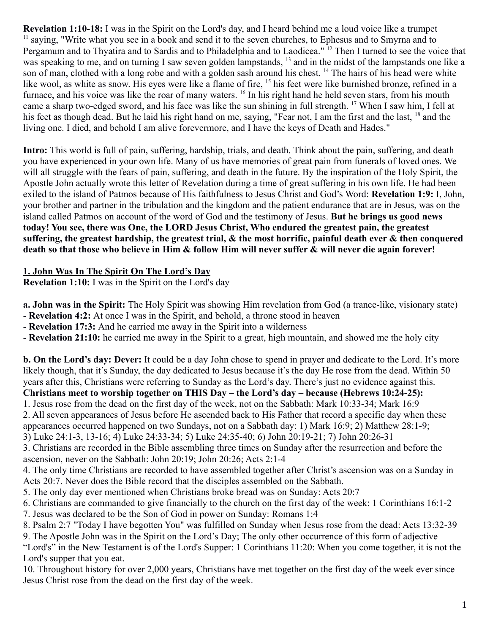**Revelation 1:10-18:** I was in the Spirit on the Lord's day, and I heard behind me a loud voice like a trumpet <sup>11</sup> saying, "Write what you see in a book and send it to the seven churches, to Ephesus and to Smyrna and to Pergamum and to Thyatira and to Sardis and to Philadelphia and to Laodicea." <sup>12</sup> Then I turned to see the voice that was speaking to me, and on turning I saw seven golden lampstands, <sup>13</sup> and in the midst of the lampstands one like a son of man, clothed with a long robe and with a golden sash around his chest. <sup>14</sup> The hairs of his head were white like wool, as white as snow. His eyes were like a flame of fire, <sup>15</sup> his feet were like burnished bronze, refined in a furnace, and his voice was like the roar of many waters. <sup>16</sup> In his right hand he held seven stars, from his mouth came a sharp two-edged sword, and his face was like the sun shining in full strength. <sup>17</sup> When I saw him, I fell at his feet as though dead. But he laid his right hand on me, saying, "Fear not, I am the first and the last, <sup>18</sup> and the living one. I died, and behold I am alive forevermore, and I have the keys of Death and Hades."

**Intro:** This world is full of pain, suffering, hardship, trials, and death. Think about the pain, suffering, and death you have experienced in your own life. Many of us have memories of great pain from funerals of loved ones. We will all struggle with the fears of pain, suffering, and death in the future. By the inspiration of the Holy Spirit, the Apostle John actually wrote this letter of Revelation during a time of great suffering in his own life. He had been exiled to the island of Patmos because of His faithfulness to Jesus Christ and God's Word: **Revelation 1:9:** I, John, your brother and partner in the tribulation and the kingdom and the patient endurance that are in Jesus, was on the island called Patmos on account of the word of God and the testimony of Jesus. **But he brings us good news today! You see, there was One, the LORD Jesus Christ, Who endured the greatest pain, the greatest suffering, the greatest hardship, the greatest trial, & the most horrific, painful death ever & then conquered death so that those who believe in Him & follow Him will never suffer & will never die again forever!**

#### **1. John Was In The Spirit On The Lord's Day**

**Revelation 1:10:** I was in the Spirit on the Lord's day

**a. John was in the Spirit:** The Holy Spirit was showing Him revelation from God (a trance-like, visionary state)

- **Revelation 4:2:** At once I was in the Spirit, and behold, a throne stood in heaven
- **Revelation 17:3:** And he carried me away in the Spirit into a wilderness
- **Revelation 21:10:** he carried me away in the Spirit to a great, high mountain, and showed me the holy city

**b. On the Lord's day: Dever:** It could be a day John chose to spend in prayer and dedicate to the Lord. It's more likely though, that it's Sunday, the day dedicated to Jesus because it's the day He rose from the dead. Within 50 years after this, Christians were referring to Sunday as the Lord's day. There's just no evidence against this.

#### **Christians meet to worship together on THIS Day – the Lord's day – because (Hebrews 10:24-25):**

1. Jesus rose from the dead on the first day of the week, not on the Sabbath: Mark 10:33-34; Mark 16:9

2. All seven appearances of Jesus before He ascended back to His Father that record a specific day when these appearances occurred happened on two Sundays, not on a Sabbath day: 1) Mark 16:9; 2) Matthew 28:1-9;

3) Luke 24:1-3, 13-16; 4) Luke 24:33-34; 5) Luke 24:35-40; 6) John 20:19-21; 7) John 20:26-31

3. Christians are recorded in the Bible assembling three times on Sunday after the resurrection and before the ascension, never on the Sabbath: John 20:19; John 20:26; Acts 2:1-4

4. The only time Christians are recorded to have assembled together after Christ's ascension was on a Sunday in Acts 20:7. Never does the Bible record that the disciples assembled on the Sabbath.

5. The only day ever mentioned when Christians broke bread was on Sunday: Acts 20:7

6. Christians are commanded to give financially to the church on the first day of the week: 1 Corinthians 16:1-2

7. Jesus was declared to be the Son of God in power on Sunday: Romans 1:4

8. Psalm 2:7 "Today I have begotten You" was fulfilled on Sunday when Jesus rose from the dead: Acts 13:32-39 9. The Apostle John was in the Spirit on the Lord's Day; The only other occurrence of this form of adjective

"Lord's" in the New Testament is of the Lord's Supper: 1 Corinthians 11:20: When you come together, it is not the Lord's supper that you eat.

10. Throughout history for over 2,000 years, Christians have met together on the first day of the week ever since Jesus Christ rose from the dead on the first day of the week.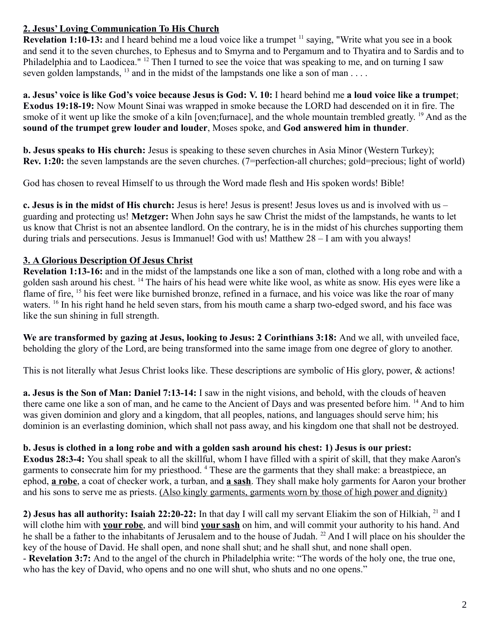## **2. Jesus' Loving Communication To His Church**

**Revelation 1:10-13:** and I heard behind me a loud voice like a trumpet <sup>11</sup> saying, "Write what you see in a book and send it to the seven churches, to Ephesus and to Smyrna and to Pergamum and to Thyatira and to Sardis and to Philadelphia and to Laodicea." <sup>12</sup> Then I turned to see the voice that was speaking to me, and on turning I saw seven golden lampstands,  $^{13}$  and in the midst of the lampstands one like a son of man . . . .

**a. Jesus' voice is like God's voice because Jesus is God: V. 10:** I heard behind me **a loud voice like a trumpet**; **Exodus 19:18-19:** Now Mount Sinai was wrapped in smoke because the LORD had descended on it in fire. The smoke of it went up like the smoke of a kiln [oven; furnace], and the whole mountain trembled greatly. <sup>19</sup> And as the **sound of the trumpet grew louder and louder**, Moses spoke, and **God answered him in thunder**.

**b. Jesus speaks to His church:** Jesus is speaking to these seven churches in Asia Minor (Western Turkey); **Rev. 1:20:** the seven lampstands are the seven churches. (7=perfection-all churches; gold=precious; light of world)

God has chosen to reveal Himself to us through the Word made flesh and His spoken words! Bible!

**c. Jesus is in the midst of His church:** Jesus is here! Jesus is present! Jesus loves us and is involved with us – guarding and protecting us! **Metzger:** When John says he saw Christ the midst of the lampstands, he wants to let us know that Christ is not an absentee landlord. On the contrary, he is in the midst of his churches supporting them during trials and persecutions. Jesus is Immanuel! God with us! Matthew  $28 - I$  am with you always!

### **3. A Glorious Description Of Jesus Christ**

**Revelation 1:13-16:** and in the midst of the lampstands one like a son of man, clothed with a long robe and with a golden sash around his chest. <sup>14</sup> The hairs of his head were white like wool, as white as snow. His eyes were like a flame of fire, <sup>15</sup> his feet were like burnished bronze, refined in a furnace, and his voice was like the roar of many waters. <sup>16</sup> In his right hand he held seven stars, from his mouth came a sharp two-edged sword, and his face was like the sun shining in full strength.

**We are transformed by gazing at Jesus, looking to Jesus: 2 Corinthians 3:18:** And we all, with unveiled face, beholding the glory of the Lord, are being transformed into the same image from one degree of glory to another.

This is not literally what Jesus Christ looks like. These descriptions are symbolic of His glory, power, & actions!

**a. Jesus is the Son of Man: Daniel 7:13-14:** I saw in the night visions, and behold, with the clouds of heaven there came one like a son of man, and he came to the Ancient of Days and was presented before him. <sup>14</sup> And to him was given dominion and glory and a kingdom, that all peoples, nations, and languages should serve him; his dominion is an everlasting dominion, which shall not pass away, and his kingdom one that shall not be destroyed.

# **b. Jesus is clothed in a long robe and with a golden sash around his chest: 1) Jesus is our priest:**

**Exodus 28:3-4:** You shall speak to all the skillful, whom I have filled with a spirit of skill, that they make Aaron's garments to consecrate him for my priesthood. <sup>4</sup> These are the garments that they shall make: a breastpiece, an ephod, **a robe**, a coat of checker work, a turban, and **a sash**. They shall make holy garments for Aaron your brother and his sons to serve me as priests. (Also kingly garments, garments worn by those of high power and dignity)

2) Jesus has all authority: Isaiah 22:20-22: In that day I will call my servant Eliakim the son of Hilkiah, <sup>21</sup> and I will clothe him with **your robe**, and will bind **your sash** on him, and will commit your authority to his hand. And he shall be a father to the inhabitants of Jerusalem and to the house of Judah. <sup>22</sup> And I will place on his shoulder the key of the house of David. He shall open, and none shall shut; and he shall shut, and none shall open.

- **Revelation 3:7:** And to the angel of the church in Philadelphia write: "The words of the holy one, the true one, who has the key of David, who opens and no one will shut, who shuts and no one opens."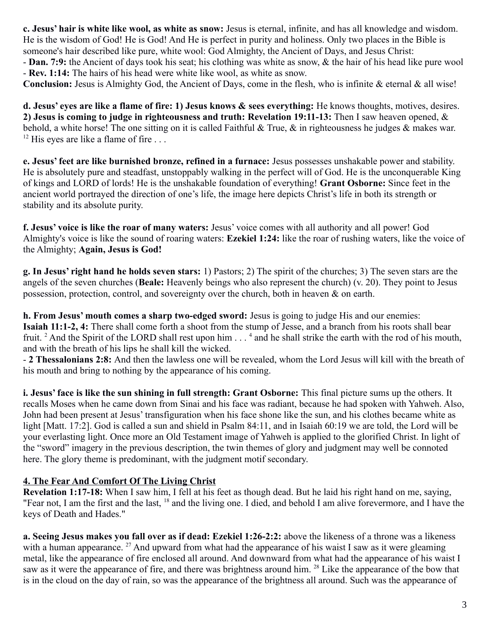**c. Jesus' hair is white like wool, as white as snow:** Jesus is eternal, infinite, and has all knowledge and wisdom. He is the wisdom of God! He is God! And He is perfect in purity and holiness. Only two places in the Bible is someone's hair described like pure, white wool: God Almighty, the Ancient of Days, and Jesus Christ: - **Dan. 7:9:** the Ancient of days took his seat; his clothing was white as snow, & the hair of his head like pure wool - **Rev. 1:14:** The hairs of his head were white like wool, as white as snow.

**Conclusion:** Jesus is Almighty God, the Ancient of Days, come in the flesh, who is infinite & eternal & all wise!

**d. Jesus' eyes are like a flame of fire: 1) Jesus knows & sees everything:** He knows thoughts, motives, desires. **2) Jesus is coming to judge in righteousness and truth: Revelation 19:11-13:** Then I saw heaven opened, & behold, a white horse! The one sitting on it is called Faithful & True, & in righteousness he judges & makes war.  $12$  His eyes are like a flame of fire ...

**e. Jesus' feet are like burnished bronze, refined in a furnace:** Jesus possesses unshakable power and stability. He is absolutely pure and steadfast, unstoppably walking in the perfect will of God. He is the unconquerable King of kings and LORD of lords! He is the unshakable foundation of everything! **Grant Osborne:** Since feet in the ancient world portrayed the direction of one's life, the image here depicts Christ's life in both its strength or stability and its absolute purity.

**f. Jesus' voice is like the roar of many waters:** Jesus' voice comes with all authority and all power! God Almighty's voice is like the sound of roaring waters: **Ezekiel 1:24:** like the roar of rushing waters, like the voice of the Almighty; **Again, Jesus is God!**

**g. In Jesus' right hand he holds seven stars:** 1) Pastors; 2) The spirit of the churches; 3) The seven stars are the angels of the seven churches (**Beale:** Heavenly beings who also represent the church) (v. 20). They point to Jesus possession, protection, control, and sovereignty over the church, both in heaven & on earth.

**h. From Jesus' mouth comes a sharp two-edged sword:** Jesus is going to judge His and our enemies: **Isaiah 11:1-2, 4:** There shall come forth a shoot from the stump of Jesse, and a branch from his roots shall bear fruit. <sup>2</sup> And the Spirit of the LORD shall rest upon him . . . <sup>4</sup> and he shall strike the earth with the rod of his mouth, and with the breath of his lips he shall kill the wicked.

- **2 Thessalonians 2:8:** And then the lawless one will be revealed, whom the Lord Jesus will kill with the breath of his mouth and bring to nothing by the appearance of his coming.

**i. Jesus' face is like the sun shining in full strength: Grant Osborne:** This final picture sums up the others. It recalls Moses when he came down from Sinai and his face was radiant, because he had spoken with Yahweh. Also, John had been present at Jesus' transfiguration when his face shone like the sun, and his clothes became white as light [Matt. 17:2]. God is called a sun and shield in Psalm 84:11, and in Isaiah 60:19 we are told, the Lord will be your everlasting light. Once more an Old Testament image of Yahweh is applied to the glorified Christ. In light of the "sword" imagery in the previous description, the twin themes of glory and judgment may well be connoted here. The glory theme is predominant, with the judgment motif secondary.

#### **4. The Fear And Comfort Of The Living Christ**

**Revelation 1:17-18:** When I saw him, I fell at his feet as though dead. But he laid his right hand on me, saying, "Fear not, I am the first and the last, <sup>18</sup> and the living one. I died, and behold I am alive forevermore, and I have the keys of Death and Hades."

**a. Seeing Jesus makes you fall over as if dead: Ezekiel 1:26-2:2:** above the likeness of a throne was a likeness with a human appearance. <sup>27</sup> And upward from what had the appearance of his waist I saw as it were gleaming metal, like the appearance of fire enclosed all around. And downward from what had the appearance of his waist I saw as it were the appearance of fire, and there was brightness around him. <sup>28</sup> Like the appearance of the bow that is in the cloud on the day of rain, so was the appearance of the brightness all around. Such was the appearance of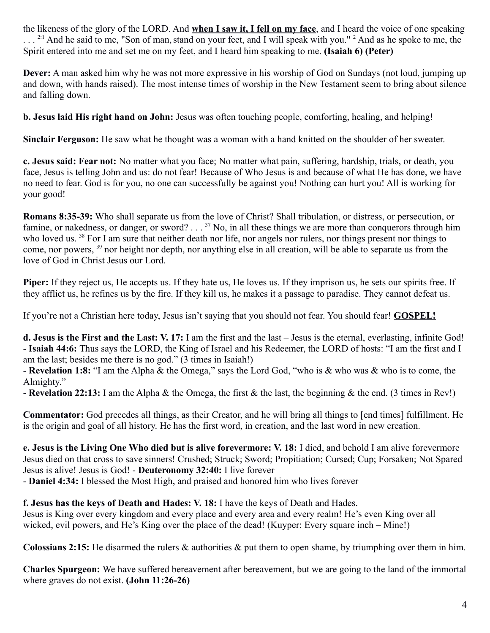the likeness of the glory of the LORD. And **when I saw it, I fell on my face**, and I heard the voice of one speaking  $\ldots$ <sup>2:1</sup> And he said to me, "Son of man, stand on your feet, and I will speak with you." <sup>2</sup> And as he spoke to me, the Spirit entered into me and set me on my feet, and I heard him speaking to me. **(Isaiah 6) (Peter)**

**Dever:** A man asked him why he was not more expressive in his worship of God on Sundays (not loud, jumping up and down, with hands raised). The most intense times of worship in the New Testament seem to bring about silence and falling down.

**b. Jesus laid His right hand on John:** Jesus was often touching people, comforting, healing, and helping!

**Sinclair Ferguson:** He saw what he thought was a woman with a hand knitted on the shoulder of her sweater.

**c. Jesus said: Fear not:** No matter what you face; No matter what pain, suffering, hardship, trials, or death, you face, Jesus is telling John and us: do not fear! Because of Who Jesus is and because of what He has done, we have no need to fear. God is for you, no one can successfully be against you! Nothing can hurt you! All is working for your good!

**Romans 8:35-39:** Who shall separate us from the love of Christ? Shall tribulation, or distress, or persecution, or famine, or nakedness, or danger, or sword? . . . <sup>37</sup> No, in all these things we are more than conquerors through him who loved us. <sup>38</sup> For I am sure that neither death nor life, nor angels nor rulers, nor things present nor things to come, nor powers, <sup>39</sup> nor height nor depth, nor anything else in all creation, will be able to separate us from the love of God in Christ Jesus our Lord.

**Piper:** If they reject us, He accepts us. If they hate us, He loves us. If they imprison us, he sets our spirits free. If they afflict us, he refines us by the fire. If they kill us, he makes it a passage to paradise. They cannot defeat us.

If you're not a Christian here today, Jesus isn't saying that you should not fear. You should fear! **GOSPEL!**

**d. Jesus is the First and the Last: V. 17:** I am the first and the last – Jesus is the eternal, everlasting, infinite God! - **Isaiah 44:6:** Thus says the LORD, the King of Israel and his Redeemer, the LORD of hosts: "I am the first and I am the last; besides me there is no god." (3 times in Isaiah!)

- **Revelation 1:8:** "I am the Alpha & the Omega," says the Lord God, "who is & who was & who is to come, the Almighty."

- **Revelation 22:13:** I am the Alpha & the Omega, the first & the last, the beginning & the end. (3 times in Rev!)

**Commentator:** God precedes all things, as their Creator, and he will bring all things to [end times] fulfillment. He is the origin and goal of all history. He has the first word, in creation, and the last word in new creation.

**e. Jesus is the Living One Who died but is alive forevermore: V. 18:** I died, and behold I am alive forevermore Jesus died on that cross to save sinners! Crushed; Struck; Sword; Propitiation; Cursed; Cup; Forsaken; Not Spared Jesus is alive! Jesus is God! - **Deuteronomy 32:40:** I live forever

- **Daniel 4:34:** I blessed the Most High, and praised and honored him who lives forever

**f. Jesus has the keys of Death and Hades: V. 18:** I have the keys of Death and Hades.

Jesus is King over every kingdom and every place and every area and every realm! He's even King over all wicked, evil powers, and He's King over the place of the dead! (Kuyper: Every square inch – Mine!)

**Colossians 2:15:** He disarmed the rulers & authorities & put them to open shame, by triumphing over them in him.

**Charles Spurgeon:** We have suffered bereavement after bereavement, but we are going to the land of the immortal where graves do not exist. **(John 11:26-26)**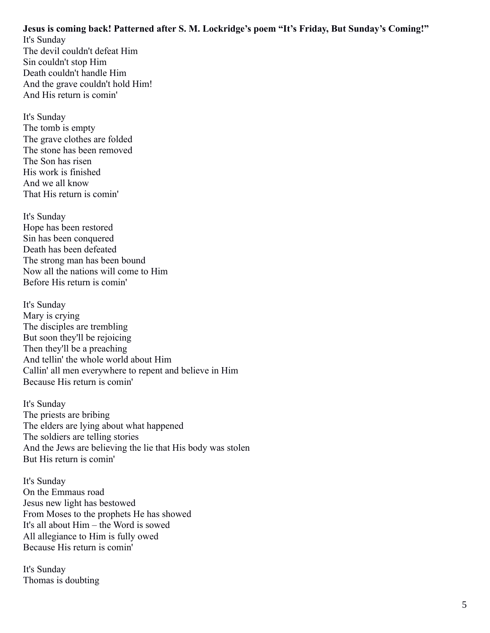**Jesus is coming back! Patterned after S. M. Lockridge's poem "It's Friday, But Sunday's Coming!"**

It's Sunday The devil couldn't defeat Him Sin couldn't stop Him Death couldn't handle Him And the grave couldn't hold Him! And His return is comin'

It's Sunday The tomb is empty The grave clothes are folded The stone has been removed The Son has risen His work is finished And we all know That His return is comin'

It's Sunday Hope has been restored Sin has been conquered Death has been defeated The strong man has been bound Now all the nations will come to Him Before His return is comin'

It's Sunday Mary is crying The disciples are trembling But soon they'll be rejoicing Then they'll be a preaching And tellin' the whole world about Him Callin' all men everywhere to repent and believe in Him Because His return is comin'

It's Sunday The priests are bribing The elders are lying about what happened The soldiers are telling stories And the Jews are believing the lie that His body was stolen But His return is comin'

It's Sunday On the Emmaus road Jesus new light has bestowed From Moses to the prophets He has showed It's all about Him – the Word is sowed All allegiance to Him is fully owed Because His return is comin'

It's Sunday Thomas is doubting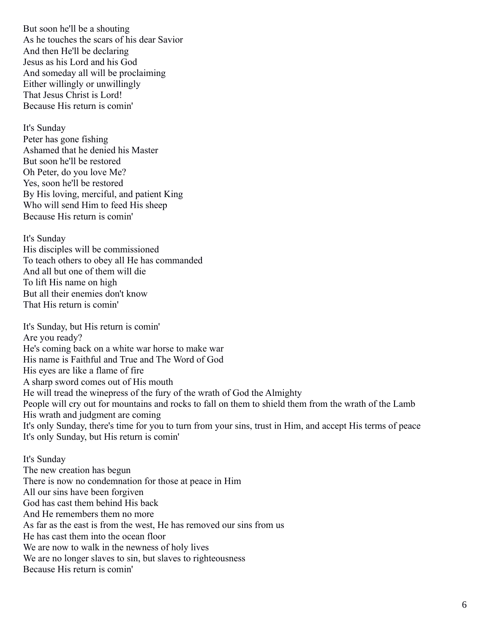But soon he'll be a shouting As he touches the scars of his dear Savior And then He'll be declaring Jesus as his Lord and his God And someday all will be proclaiming Either willingly or unwillingly That Jesus Christ is Lord! Because His return is comin'

It's Sunday Peter has gone fishing Ashamed that he denied his Master But soon he'll be restored Oh Peter, do you love Me? Yes, soon he'll be restored By His loving, merciful, and patient King Who will send Him to feed His sheep Because His return is comin'

It's Sunday His disciples will be commissioned To teach others to obey all He has commanded And all but one of them will die To lift His name on high But all their enemies don't know That His return is comin'

It's Sunday, but His return is comin' Are you ready? He's coming back on a white war horse to make war His name is Faithful and True and The Word of God His eyes are like a flame of fire A sharp sword comes out of His mouth He will tread the winepress of the fury of the wrath of God the Almighty People will cry out for mountains and rocks to fall on them to shield them from the wrath of the Lamb His wrath and judgment are coming It's only Sunday, there's time for you to turn from your sins, trust in Him, and accept His terms of peace It's only Sunday, but His return is comin'

It's Sunday The new creation has begun There is now no condemnation for those at peace in Him All our sins have been forgiven God has cast them behind His back And He remembers them no more As far as the east is from the west, He has removed our sins from us He has cast them into the ocean floor We are now to walk in the newness of holy lives We are no longer slaves to sin, but slaves to righteousness Because His return is comin'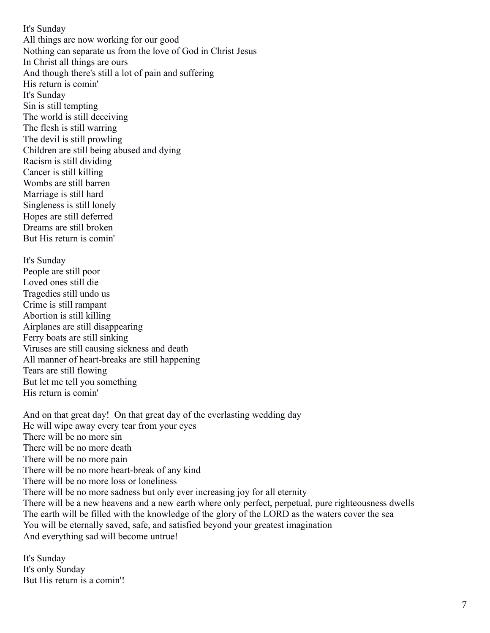It's Sunday All things are now working for our good Nothing can separate us from the love of God in Christ Jesus In Christ all things are ours And though there's still a lot of pain and suffering His return is comin' It's Sunday Sin is still tempting The world is still deceiving The flesh is still warring The devil is still prowling Children are still being abused and dying Racism is still dividing Cancer is still killing Wombs are still barren Marriage is still hard Singleness is still lonely Hopes are still deferred Dreams are still broken But His return is comin' It's Sunday People are still poor Loved ones still die Tragedies still undo us Crime is still rampant Abortion is still killing Airplanes are still disappearing Ferry boats are still sinking Viruses are still causing sickness and death All manner of heart-breaks are still happening Tears are still flowing But let me tell you something His return is comin' And on that great day! On that great day of the everlasting wedding day He will wipe away every tear from your eyes There will be no more sin There will be no more death There will be no more pain There will be no more heart-break of any kind There will be no more loss or loneliness There will be no more sadness but only ever increasing joy for all eternity There will be a new heavens and a new earth where only perfect, perpetual, pure righteousness dwells The earth will be filled with the knowledge of the glory of the LORD as the waters cover the sea You will be eternally saved, safe, and satisfied beyond your greatest imagination And everything sad will become untrue!

It's Sunday It's only Sunday But His return is a comin'!